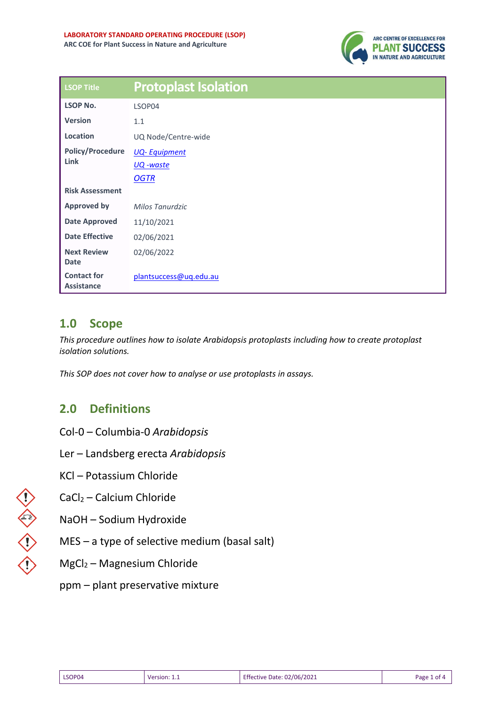

| <b>LSOP Title</b>                       | <b>Protoplast Isolation</b> |
|-----------------------------------------|-----------------------------|
| <b>LSOP No.</b>                         | LSOP04                      |
| <b>Version</b>                          | 1.1                         |
| Location                                | UQ Node/Centre-wide         |
| <b>Policy/Procedure</b>                 | <b>UQ-Equipment</b>         |
| Link                                    | UQ -waste                   |
|                                         | <b>OGTR</b>                 |
| <b>Risk Assessment</b>                  |                             |
| <b>Approved by</b>                      | Milos Tanurdzic             |
| <b>Date Approved</b>                    | 11/10/2021                  |
| <b>Date Effective</b>                   | 02/06/2021                  |
| <b>Next Review</b><br><b>Date</b>       | 02/06/2022                  |
| <b>Contact for</b><br><b>Assistance</b> | plantsuccess@uq.edu.au      |

## **1.0 Scope**

*This procedure outlines how to isolate Arabidopsis protoplasts including how to create protoplast isolation solutions.* 

*This SOP does not cover how to analyse or use protoplasts in assays.*

# **2.0 Definitions**

- Col-0 Columbia-0 *Arabidopsis*
- Ler Landsberg erecta *Arabidopsis*
- KCl Potassium Chloride
- CaCl<sup>2</sup> Calcium Chloride
- NaOH Sodium Hydroxide
- MES a type of selective medium (basal salt)
- MgCl<sup>2</sup> Magnesium Chloride
- ppm plant preservative mixture

| Effective Date: 02/06/2021<br>LSOP04<br>Page 1 of 4<br>Version: |
|-----------------------------------------------------------------|
|-----------------------------------------------------------------|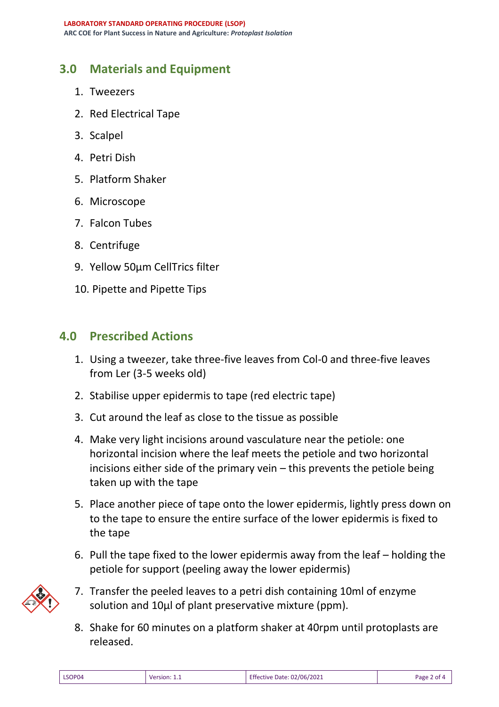## **3.0 Materials and Equipment**

- 1. Tweezers
- 2. Red Electrical Tape
- 3. Scalpel
- 4. Petri Dish
- 5. Platform Shaker
- 6. Microscope
- 7. Falcon Tubes
- 8. Centrifuge
- 9. Yellow 50µm CellTrics filter
- 10. Pipette and Pipette Tips

#### **4.0 Prescribed Actions**

- 1. Using a tweezer, take three-five leaves from Col-0 and three-five leaves from Ler (3-5 weeks old)
- 2. Stabilise upper epidermis to tape (red electric tape)
- 3. Cut around the leaf as close to the tissue as possible
- 4. Make very light incisions around vasculature near the petiole: one horizontal incision where the leaf meets the petiole and two horizontal incisions either side of the primary vein – this prevents the petiole being taken up with the tape
- 5. Place another piece of tape onto the lower epidermis, lightly press down on to the tape to ensure the entire surface of the lower epidermis is fixed to the tape
- 6. Pull the tape fixed to the lower epidermis away from the leaf holding the petiole for support (peeling away the lower epidermis)



- 7. Transfer the peeled leaves to a petri dish containing 10ml of enzyme solution and 10µl of plant preservative mixture (ppm).
- 8. Shake for 60 minutes on a platform shaker at 40rpm until protoplasts are released.

| LSOP04 | Version: 1.1 | Effective Date: 02/06/2021 | Page 2 of 4 |
|--------|--------------|----------------------------|-------------|
|--------|--------------|----------------------------|-------------|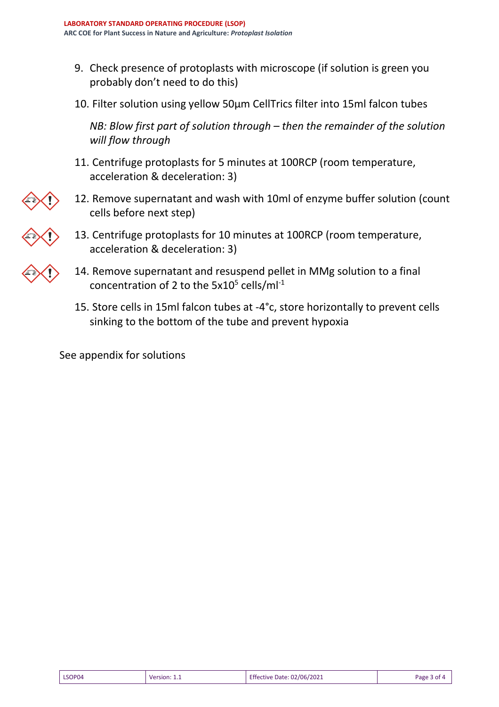- 9. Check presence of protoplasts with microscope (if solution is green you probably don't need to do this)
- 10. Filter solution using yellow 50µm CellTrics filter into 15ml falcon tubes

*NB: Blow first part of solution through – then the remainder of the solution will flow through*

- 11. Centrifuge protoplasts for 5 minutes at 100RCP (room temperature, acceleration & deceleration: 3)
- 12. Remove supernatant and wash with 10ml of enzyme buffer solution (count cells before next step)
- 13. Centrifuge protoplasts for 10 minutes at 100RCP (room temperature, acceleration & deceleration: 3)
- 14. Remove supernatant and resuspend pellet in MMg solution to a final concentration of 2 to the 5x10<sup>5</sup> cells/ml<sup>-1</sup>
- 15. Store cells in 15ml falcon tubes at -4°c, store horizontally to prevent cells sinking to the bottom of the tube and prevent hypoxia

See appendix for solutions

 $\bigvee$ 

| LSOP04<br>Version | - 1<br>02/06/2021<br>ective Date:<br>. | Page |
|-------------------|----------------------------------------|------|
|-------------------|----------------------------------------|------|